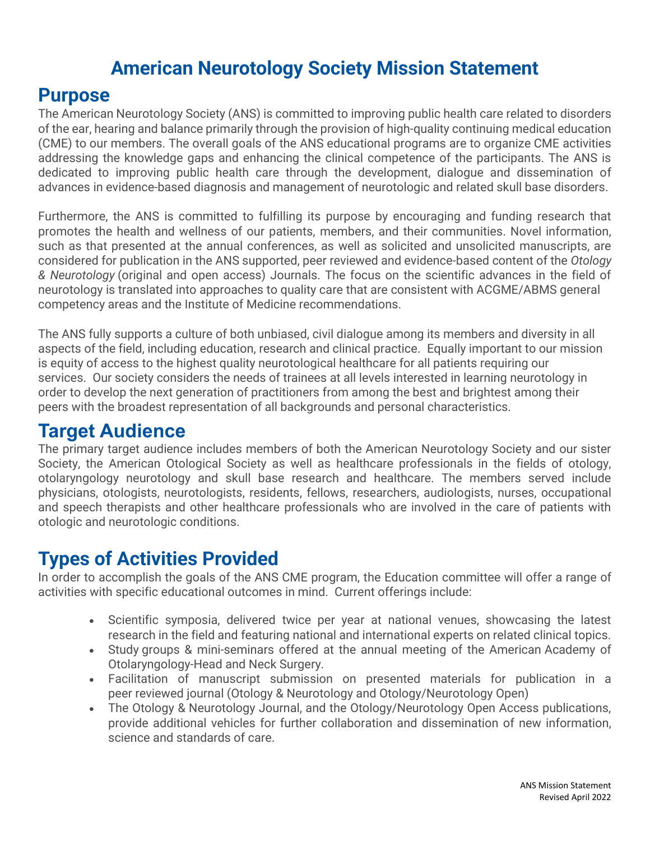# **American Neurotology Society Mission Statement**

#### **Purpose**

The American Neurotology Society (ANS) is committed to improving public health care related to disorders of the ear, hearing and balance primarily through the provision of high-quality continuing medical education (CME) to our members. The overall goals of the ANS educational programs are to organize CME activities addressing the knowledge gaps and enhancing the clinical competence of the participants. The ANS is dedicated to improving public health care through the development, dialogue and dissemination of advances in evidence-based diagnosis and management of neurotologic and related skull base disorders.

Furthermore, the ANS is committed to fulfilling its purpose by encouraging and funding research that promotes the health and wellness of our patients, members, and their communities. Novel information, such as that presented at the annual conferences, as well as solicited and unsolicited manuscripts, are considered for publication in the ANS supported, peer reviewed and evidence-based content of the *Otology & Neurotology* (original and open access) Journals. The focus on the scientific advances in the field of neurotology is translated into approaches to quality care that are consistent with ACGME/ABMS general competency areas and the Institute of Medicine recommendations.

The ANS fully supports a culture of both unbiased, civil dialogue among its members and diversity in all aspects of the field, including education, research and clinical practice. Equally important to our mission is equity of access to the highest quality neurotological healthcare for all patients requiring our services. Our society considers the needs of trainees at all levels interested in learning neurotology in order to develop the next generation of practitioners from among the best and brightest among their peers with the broadest representation of all backgrounds and personal characteristics.

### **Target Audience**

The primary target audience includes members of both the American Neurotology Society and our sister Society, the American Otological Society as well as healthcare professionals in the fields of otology, otolaryngology neurotology and skull base research and healthcare. The members served include physicians, otologists, neurotologists, residents, fellows, researchers, audiologists, nurses, occupational and speech therapists and other healthcare professionals who are involved in the care of patients with otologic and neurotologic conditions.

### **Types of Activities Provided**

In order to accomplish the goals of the ANS CME program, the Education committee will offer a range of activities with specific educational outcomes in mind. Current offerings include:

- Scientific symposia, delivered twice per year at national venues, showcasing the latest research in the field and featuring national and international experts on related clinical topics.
- Study groups & mini-seminars offered at the annual meeting of the American Academy of Otolaryngology-Head and Neck Surgery.
- Facilitation of manuscript submission on presented materials for publication in a peer reviewed journal (Otology & Neurotology and Otology/Neurotology Open)
- The Otology & Neurotology Journal, and the Otology/Neurotology Open Access publications, provide additional vehicles for further collaboration and dissemination of new information, science and standards of care.